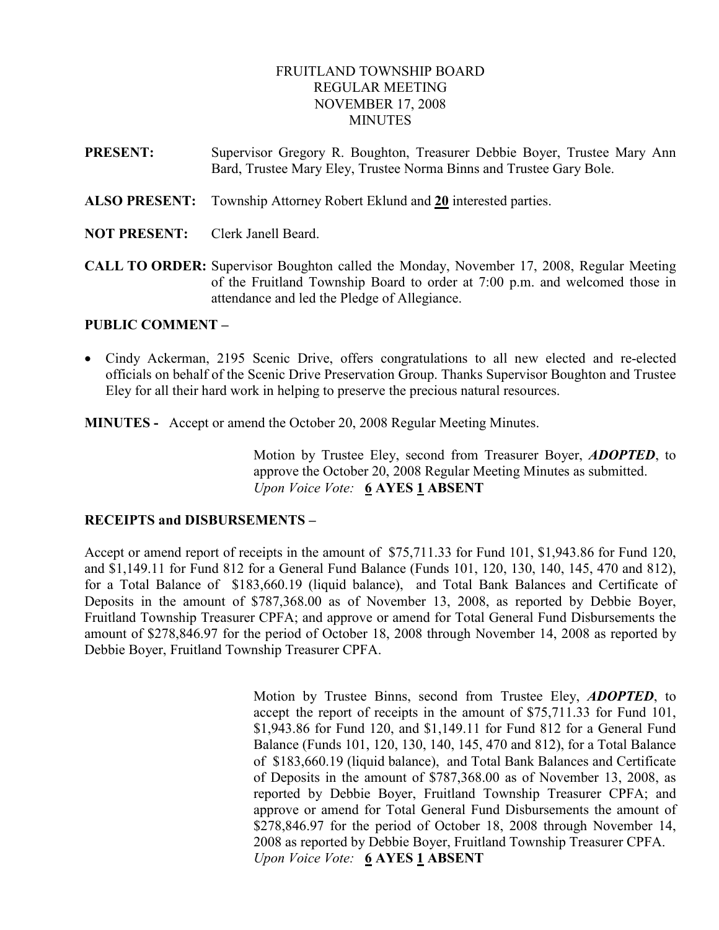## FRUITLAND TOWNSHIP BOARD REGULAR MEETING NOVEMBER 17, 2008 **MINUTES**

- PRESENT: Supervisor Gregory R. Boughton, Treasurer Debbie Boyer, Trustee Mary Ann Bard, Trustee Mary Eley, Trustee Norma Binns and Trustee Gary Bole.
- ALSO PRESENT: Township Attorney Robert Eklund and 20 interested parties.
- NOT PRESENT: Clerk Janell Beard.
- CALL TO ORDER: Supervisor Boughton called the Monday, November 17, 2008, Regular Meeting of the Fruitland Township Board to order at 7:00 p.m. and welcomed those in attendance and led the Pledge of Allegiance.

### PUBLIC COMMENT –

• Cindy Ackerman, 2195 Scenic Drive, offers congratulations to all new elected and re-elected officials on behalf of the Scenic Drive Preservation Group. Thanks Supervisor Boughton and Trustee Eley for all their hard work in helping to preserve the precious natural resources.

MINUTES - Accept or amend the October 20, 2008 Regular Meeting Minutes.

Motion by Trustee Eley, second from Treasurer Boyer, ADOPTED, to approve the October 20, 2008 Regular Meeting Minutes as submitted. Upon Voice Vote: 6 AYES 1 ABSENT

#### RECEIPTS and DISBURSEMENTS –

Accept or amend report of receipts in the amount of \$75,711.33 for Fund 101, \$1,943.86 for Fund 120, and \$1,149.11 for Fund 812 for a General Fund Balance (Funds 101, 120, 130, 140, 145, 470 and 812), for a Total Balance of \$183,660.19 (liquid balance), and Total Bank Balances and Certificate of Deposits in the amount of \$787,368.00 as of November 13, 2008, as reported by Debbie Boyer, Fruitland Township Treasurer CPFA; and approve or amend for Total General Fund Disbursements the amount of \$278,846.97 for the period of October 18, 2008 through November 14, 2008 as reported by Debbie Boyer, Fruitland Township Treasurer CPFA.

> Motion by Trustee Binns, second from Trustee Eley, **ADOPTED**, to accept the report of receipts in the amount of \$75,711.33 for Fund 101, \$1,943.86 for Fund 120, and \$1,149.11 for Fund 812 for a General Fund Balance (Funds 101, 120, 130, 140, 145, 470 and 812), for a Total Balance of \$183,660.19 (liquid balance), and Total Bank Balances and Certificate of Deposits in the amount of \$787,368.00 as of November 13, 2008, as reported by Debbie Boyer, Fruitland Township Treasurer CPFA; and approve or amend for Total General Fund Disbursements the amount of \$278,846.97 for the period of October 18, 2008 through November 14, 2008 as reported by Debbie Boyer, Fruitland Township Treasurer CPFA. Upon Voice Vote: 6 AYES 1 ABSENT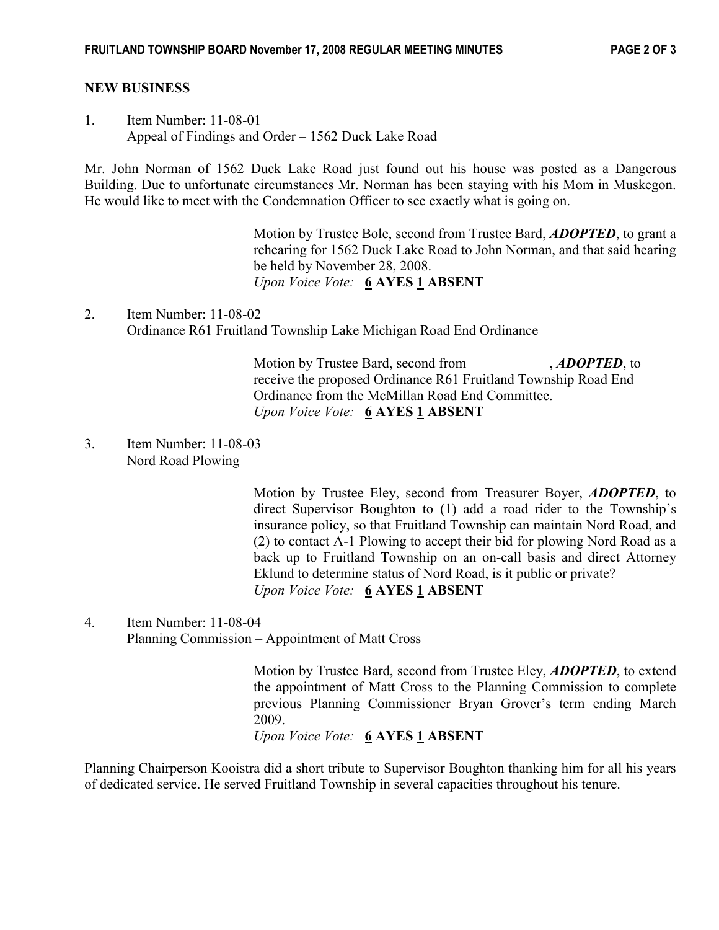#### NEW BUSINESS

1. Item Number: 11-08-01 Appeal of Findings and Order – 1562 Duck Lake Road

Mr. John Norman of 1562 Duck Lake Road just found out his house was posted as a Dangerous Building. Due to unfortunate circumstances Mr. Norman has been staying with his Mom in Muskegon. He would like to meet with the Condemnation Officer to see exactly what is going on.

> Motion by Trustee Bole, second from Trustee Bard, **ADOPTED**, to grant a rehearing for 1562 Duck Lake Road to John Norman, and that said hearing be held by November 28, 2008. Upon Voice Vote: 6 AYES 1 ABSENT

2. Item Number: 11-08-02 Ordinance R61 Fruitland Township Lake Michigan Road End Ordinance

> Motion by Trustee Bard, second from , **ADOPTED**, to receive the proposed Ordinance R61 Fruitland Township Road End Ordinance from the McMillan Road End Committee. Upon Voice Vote: 6 AYES 1 ABSENT

3. Item Number: 11-08-03 Nord Road Plowing

> Motion by Trustee Eley, second from Treasurer Boyer, ADOPTED, to direct Supervisor Boughton to (1) add a road rider to the Township's insurance policy, so that Fruitland Township can maintain Nord Road, and (2) to contact A-1 Plowing to accept their bid for plowing Nord Road as a back up to Fruitland Township on an on-call basis and direct Attorney Eklund to determine status of Nord Road, is it public or private? Upon Voice Vote: 6 AYES 1 ABSENT

4. Item Number: 11-08-04 Planning Commission – Appointment of Matt Cross

> Motion by Trustee Bard, second from Trustee Eley, **ADOPTED**, to extend the appointment of Matt Cross to the Planning Commission to complete previous Planning Commissioner Bryan Grover's term ending March 2009.

Upon Voice Vote: 6 AYES 1 ABSENT

Planning Chairperson Kooistra did a short tribute to Supervisor Boughton thanking him for all his years of dedicated service. He served Fruitland Township in several capacities throughout his tenure.